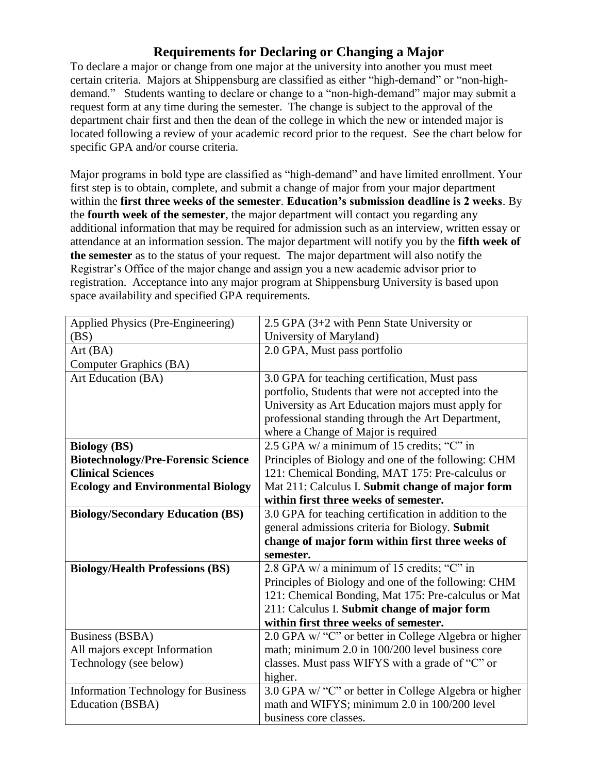## **Requirements for Declaring or Changing a Major**

To declare a major or change from one major at the university into another you must meet certain criteria. Majors at Shippensburg are classified as either "high-demand" or "non-highdemand." Students wanting to declare or change to a "non-high-demand" major may submit a request form at any time during the semester. The change is subject to the approval of the department chair first and then the dean of the college in which the new or intended major is located following a review of your academic record prior to the request. See the chart below for specific GPA and/or course criteria.

Major programs in bold type are classified as "high-demand" and have limited enrollment. Your first step is to obtain, complete, and submit a change of major from your major department within the **first three weeks of the semester**. **Education's submission deadline is 2 weeks**. By the **fourth week of the semester**, the major department will contact you regarding any additional information that may be required for admission such as an interview, written essay or attendance at an information session. The major department will notify you by the **fifth week of the semester** as to the status of your request. The major department will also notify the Registrar's Office of the major change and assign you a new academic advisor prior to registration. Acceptance into any major program at Shippensburg University is based upon space availability and specified GPA requirements.

| Applied Physics (Pre-Engineering)          | 2.5 GPA (3+2 with Penn State University or                             |
|--------------------------------------------|------------------------------------------------------------------------|
| (BS)                                       | University of Maryland)                                                |
| Art(BA)                                    | 2.0 GPA, Must pass portfolio                                           |
| Computer Graphics (BA)                     |                                                                        |
| Art Education (BA)                         | 3.0 GPA for teaching certification, Must pass                          |
|                                            | portfolio, Students that were not accepted into the                    |
|                                            | University as Art Education majors must apply for                      |
|                                            | professional standing through the Art Department,                      |
|                                            | where a Change of Major is required                                    |
| <b>Biology</b> (BS)                        | 2.5 GPA w/ a minimum of 15 credits; "C" in                             |
| <b>Biotechnology/Pre-Forensic Science</b>  | Principles of Biology and one of the following: CHM                    |
| <b>Clinical Sciences</b>                   | 121: Chemical Bonding, MAT 175: Pre-calculus or                        |
| <b>Ecology and Environmental Biology</b>   | Mat 211: Calculus I. Submit change of major form                       |
|                                            | within first three weeks of semester.                                  |
| <b>Biology/Secondary Education (BS)</b>    | 3.0 GPA for teaching certification in addition to the                  |
|                                            | general admissions criteria for Biology. Submit                        |
|                                            | change of major form within first three weeks of                       |
|                                            | semester.                                                              |
| <b>Biology/Health Professions (BS)</b>     | 2.8 GPA w/ a minimum of 15 credits; "C" in                             |
|                                            | Principles of Biology and one of the following: CHM                    |
|                                            | 121: Chemical Bonding, Mat 175: Pre-calculus or Mat                    |
|                                            | 211: Calculus I. Submit change of major form                           |
|                                            | within first three weeks of semester.                                  |
| <b>Business (BSBA)</b>                     | 2.0 GPA w/ "C" or better in College Algebra or higher                  |
| All majors except Information              | math; minimum 2.0 in 100/200 level business core                       |
| Technology (see below)                     | classes. Must pass WIFYS with a grade of "C" or                        |
|                                            | higher.                                                                |
| <b>Information Technology for Business</b> | 3.0 GPA w/ "C" or better in College Algebra or higher                  |
|                                            |                                                                        |
| Education (BSBA)                           | math and WIFYS; minimum 2.0 in 100/200 level<br>business core classes. |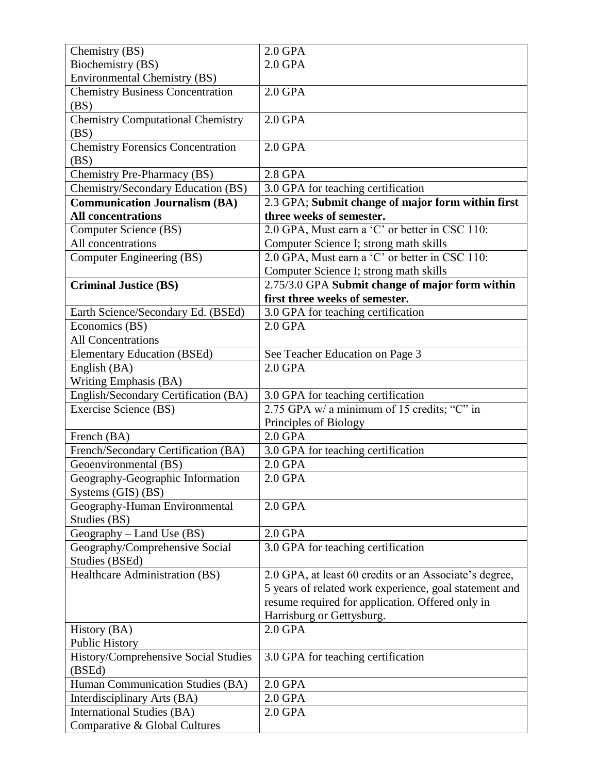| Chemistry (BS)                                 | $2.0$ GPA                                              |
|------------------------------------------------|--------------------------------------------------------|
| Biochemistry (BS)                              | $2.0$ GPA                                              |
| <b>Environmental Chemistry (BS)</b>            |                                                        |
| <b>Chemistry Business Concentration</b>        | $2.0$ GPA                                              |
| (BS)                                           |                                                        |
| <b>Chemistry Computational Chemistry</b>       | $2.0$ GPA                                              |
| (BS)                                           |                                                        |
| <b>Chemistry Forensics Concentration</b>       | $2.0$ GPA                                              |
| (BS)                                           |                                                        |
| Chemistry Pre-Pharmacy (BS)                    | 2.8 GPA                                                |
| Chemistry/Secondary Education (BS)             | 3.0 GPA for teaching certification                     |
| <b>Communication Journalism (BA)</b>           | 2.3 GPA; Submit change of major form within first      |
| <b>All concentrations</b>                      | three weeks of semester.                               |
| Computer Science (BS)                          | 2.0 GPA, Must earn a 'C' or better in CSC 110:         |
| All concentrations                             | Computer Science I; strong math skills                 |
| Computer Engineering (BS)                      | 2.0 GPA, Must earn a 'C' or better in CSC 110:         |
|                                                | Computer Science I; strong math skills                 |
| <b>Criminal Justice (BS)</b>                   | 2.75/3.0 GPA Submit change of major form within        |
|                                                | first three weeks of semester.                         |
| Earth Science/Secondary Ed. (BSEd)             | 3.0 GPA for teaching certification                     |
| Economics (BS)                                 | $2.0$ GPA                                              |
| <b>All Concentrations</b>                      |                                                        |
| <b>Elementary Education (BSEd)</b>             | See Teacher Education on Page 3                        |
| English (BA)                                   | $2.0$ GPA                                              |
| Writing Emphasis (BA)                          |                                                        |
| English/Secondary Certification (BA)           | 3.0 GPA for teaching certification                     |
| Exercise Science (BS)                          | 2.75 GPA w/ a minimum of 15 credits; "C" in            |
|                                                | Principles of Biology                                  |
| French (BA)                                    | $2.0$ GPA                                              |
| French/Secondary Certification (BA)            | 3.0 GPA for teaching certification                     |
| Geoenvironmental (BS)                          | $2.0$ GPA                                              |
| Geography-Geographic Information               | $2.0$ GPA                                              |
| Systems (GIS) (BS)                             |                                                        |
| Geography-Human Environmental                  | $2.0$ GPA                                              |
| Studies (BS)                                   |                                                        |
| Geography - Land Use (BS)                      | $2.0$ GPA                                              |
| Geography/Comprehensive Social                 | 3.0 GPA for teaching certification                     |
| Studies (BSEd)                                 |                                                        |
| Healthcare Administration (BS)                 | 2.0 GPA, at least 60 credits or an Associate's degree, |
|                                                | 5 years of related work experience, goal statement and |
|                                                | resume required for application. Offered only in       |
|                                                | Harrisburg or Gettysburg.                              |
| History (BA)                                   | $2.0$ GPA                                              |
| <b>Public History</b>                          |                                                        |
| History/Comprehensive Social Studies<br>(BSEd) | 3.0 GPA for teaching certification                     |
| Human Communication Studies (BA)               | $2.0$ GPA                                              |
| Interdisciplinary Arts (BA)                    | 2.0 GPA                                                |
| International Studies (BA)                     | 2.0 GPA                                                |
| Comparative & Global Cultures                  |                                                        |